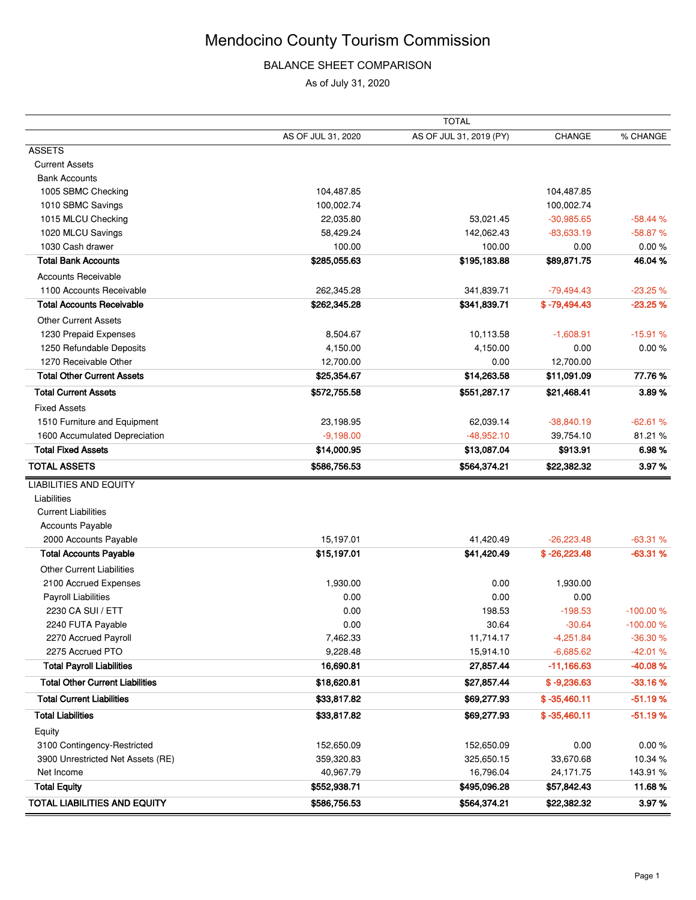### BALANCE SHEET COMPARISON

As of July 31, 2020

| <b>TOTAL LIABILITIES AND EQUITY</b>    | \$586,756.53       | \$564,374.21                            | \$22,382.32    | 3.97%      |
|----------------------------------------|--------------------|-----------------------------------------|----------------|------------|
| <b>Total Equity</b>                    | \$552,938.71       | \$495,096.28                            | \$57,842.43    | 11.68%     |
| Net Income                             | 40,967.79          | 16,796.04                               | 24,171.75      | 143.91 %   |
| 3900 Unrestricted Net Assets (RE)      | 359,320.83         | 325,650.15                              | 33,670.68      | 10.34 %    |
| 3100 Contingency-Restricted            | 152,650.09         | 152,650.09                              | 0.00           | $0.00 \%$  |
| Equity                                 |                    |                                         |                |            |
| <b>Total Liabilities</b>               | \$33,817.82        | \$69,277.93                             | $$ -35,460.11$ | $-51.19%$  |
| <b>Total Current Liabilities</b>       | \$33,817.82        | \$69,277.93                             | $$ -35,460.11$ | $-51.19%$  |
| <b>Total Other Current Liabilities</b> | \$18,620.81        | \$27,857.44                             | $$ -9,236.63$  | $-33.16%$  |
| <b>Total Payroll Liabilities</b>       | 16,690.81          | 27,857.44                               | $-11,166.63$   | $-40.08%$  |
| 2275 Accrued PTO                       | 9,228.48           | 15,914.10                               | $-6,685.62$    | $-42.01%$  |
| 2270 Accrued Payroll                   | 7,462.33           | 11,714.17                               | $-4,251.84$    | $-36.30%$  |
| 2240 FUTA Payable                      | 0.00               | 30.64                                   | $-30.64$       | $-100.00%$ |
| 2230 CA SUI / ETT                      | 0.00               | 198.53                                  | $-198.53$      | $-100.00%$ |
| Payroll Liabilities                    | 0.00               | 0.00                                    | 0.00           |            |
| 2100 Accrued Expenses                  | 1,930.00           | 0.00                                    | 1,930.00       |            |
| <b>Other Current Liabilities</b>       |                    |                                         |                |            |
| <b>Total Accounts Payable</b>          | \$15,197.01        | \$41,420.49                             | $$ -26,223.48$ | $-63.31%$  |
| 2000 Accounts Payable                  | 15,197.01          | 41,420.49                               | $-26,223.48$   | $-63.31%$  |
| <b>Accounts Payable</b>                |                    |                                         |                |            |
| <b>Current Liabilities</b>             |                    |                                         |                |            |
| Liabilities                            |                    |                                         |                |            |
| <b>LIABILITIES AND EQUITY</b>          |                    |                                         |                |            |
| <b>TOTAL ASSETS</b>                    | \$586,756.53       | \$564,374.21                            | \$22,382.32    | 3.97%      |
| <b>Total Fixed Assets</b>              | \$14,000.95        | \$13,087.04                             | \$913.91       | 6.98%      |
| 1600 Accumulated Depreciation          | $-9,198.00$        | $-48,952.10$                            | 39,754.10      | 81.21%     |
| 1510 Furniture and Equipment           | 23,198.95          | 62,039.14                               | $-38,840.19$   | $-62.61%$  |
| <b>Fixed Assets</b>                    |                    |                                         |                |            |
| <b>Total Current Assets</b>            | \$572,755.58       | \$551,287.17                            | \$21,468.41    | 3.89%      |
| <b>Total Other Current Assets</b>      | \$25,354.67        | \$14,263.58                             | \$11,091.09    | 77.76%     |
| 1270 Receivable Other                  | 12,700.00          | 0.00                                    | 12,700.00      |            |
| 1250 Refundable Deposits               | 4,150.00           | 4,150.00                                | 0.00           | 0.00%      |
| 1230 Prepaid Expenses                  | 8,504.67           | 10,113.58                               | $-1,608.91$    | $-15.91%$  |
| <b>Other Current Assets</b>            |                    |                                         |                |            |
| <b>Total Accounts Receivable</b>       | \$262,345.28       | \$341,839.71                            | $$ -79,494.43$ | $-23.25%$  |
| 1100 Accounts Receivable               | 262,345.28         | 341,839.71                              | $-79,494.43$   | $-23.25%$  |
| <b>Accounts Receivable</b>             |                    |                                         |                |            |
| <b>Total Bank Accounts</b>             | \$285,055.63       | \$195,183.88                            | \$89,871.75    | 46.04%     |
| 1030 Cash drawer                       | 100.00             | 100.00                                  | 0.00           | 0.00%      |
| 1020 MLCU Savings                      | 58,429.24          | 142,062.43                              | $-83,633.19$   | $-58.87%$  |
| 1015 MLCU Checking                     | 22,035.80          | 53,021.45                               | $-30,985.65$   | $-58.44%$  |
| 1010 SBMC Savings                      | 100,002.74         |                                         | 100,002.74     |            |
| 1005 SBMC Checking                     | 104,487.85         |                                         | 104,487.85     |            |
| <b>Bank Accounts</b>                   |                    |                                         |                |            |
| <b>Current Assets</b>                  |                    |                                         |                |            |
| <b>ASSETS</b>                          |                    |                                         |                |            |
|                                        | AS OF JUL 31, 2020 | <b>TOTAL</b><br>AS OF JUL 31, 2019 (PY) | CHANGE         | % CHANGE   |
|                                        |                    |                                         |                |            |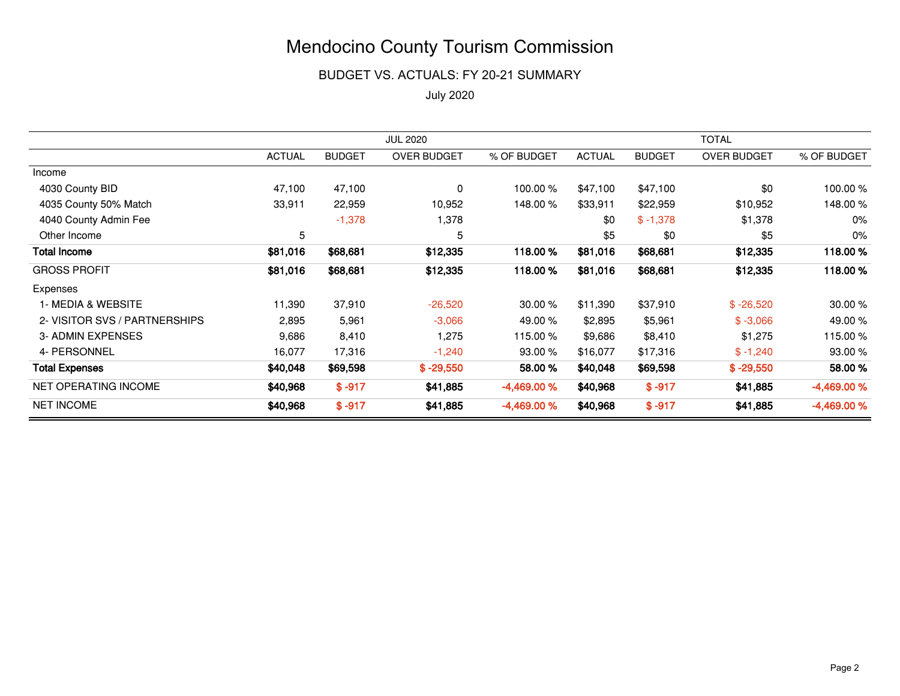#### BUDGET VS. ACTUALS: FY 20-21 SUMMARY

|                               |               |               | <b>JUL 2020</b>    |              |               |               | <b>TOTAL</b> |              |
|-------------------------------|---------------|---------------|--------------------|--------------|---------------|---------------|--------------|--------------|
|                               | <b>ACTUAL</b> | <b>BUDGET</b> | <b>OVER BUDGET</b> | % OF BUDGET  | <b>ACTUAL</b> | <b>BUDGET</b> | OVER BUDGET  | % OF BUDGET  |
| Income                        |               |               |                    |              |               |               |              |              |
| 4030 County BID               | 47,100        | 47,100        | 0                  | 100.00 %     | \$47,100      | \$47,100      | \$0          | 100.00 %     |
| 4035 County 50% Match         | 33,911        | 22,959        | 10,952             | 148.00 %     | \$33,911      | \$22,959      | \$10,952     | 148.00 %     |
| 4040 County Admin Fee         |               | $-1,378$      | 1,378              |              | \$0           | $$ -1,378$    | \$1,378      | 0%           |
| Other Income                  | 5             |               | 5                  |              | \$5           | \$0           | \$5          | 0%           |
| <b>Total Income</b>           | \$81,016      | \$68,681      | \$12,335           | 118.00%      | \$81,016      | \$68,681      | \$12,335     | 118.00%      |
| <b>GROSS PROFIT</b>           | \$81,016      | \$68,681      | \$12,335           | 118.00%      | \$81,016      | \$68,681      | \$12,335     | 118.00 %     |
| Expenses                      |               |               |                    |              |               |               |              |              |
| 1- MEDIA & WEBSITE            | 11,390        | 37,910        | $-26,520$          | 30.00%       | \$11,390      | \$37,910      | $$ -26,520$  | 30.00%       |
| 2- VISITOR SVS / PARTNERSHIPS | 2,895         | 5,961         | $-3,066$           | 49.00 %      | \$2,895       | \$5,961       | $$ -3,066$   | 49.00 %      |
| 3- ADMIN EXPENSES             | 9,686         | 8,410         | 1,275              | 115.00 %     | \$9,686       | \$8,410       | \$1,275      | 115.00 %     |
| 4- PERSONNEL                  | 16,077        | 17,316        | $-1,240$           | 93.00 %      | \$16,077      | \$17,316      | $$ -1,240$   | 93.00 %      |
| <b>Total Expenses</b>         | \$40,048      | \$69,598      | $$ -29,550$        | 58.00 %      | \$40,048      | \$69,598      | $$ -29,550$  | 58.00 %      |
| NET OPERATING INCOME          | \$40,968      | $$ -917$      | \$41,885           | $-4,469.00%$ | \$40,968      | $$ -917$      | \$41,885     | $-4,469.00%$ |
| <b>NET INCOME</b>             | \$40,968      | $$ -917$      | \$41,885           | $-4,469.00%$ | \$40,968      | $$ -917$      | \$41,885     | $-4,469.00%$ |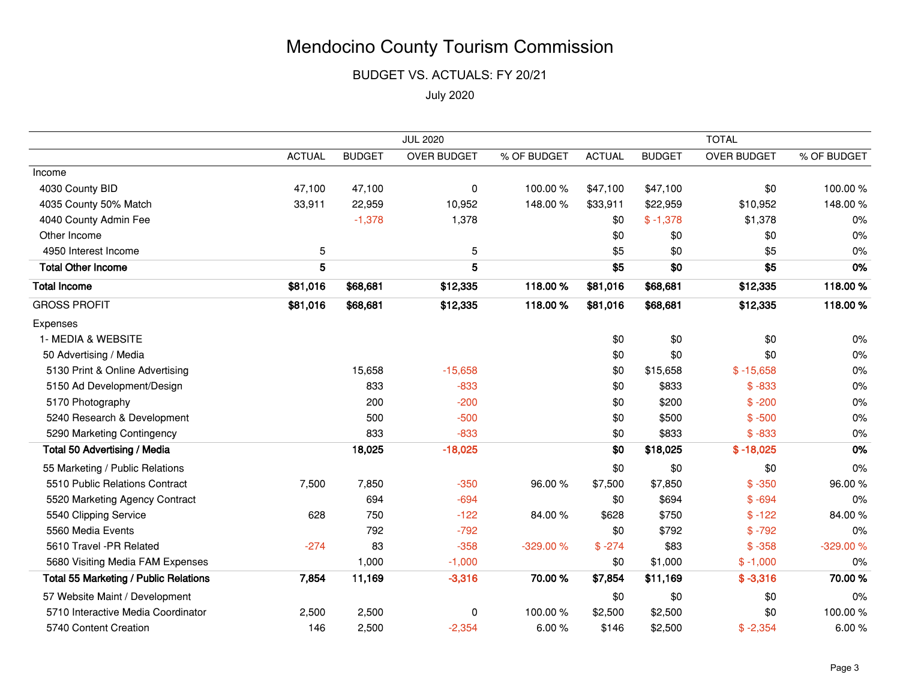### BUDGET VS. ACTUALS: FY 20/21

|                                              |               |               | <b>JUL 2020</b>    |             |               |               | <b>TOTAL</b>       |             |
|----------------------------------------------|---------------|---------------|--------------------|-------------|---------------|---------------|--------------------|-------------|
|                                              | <b>ACTUAL</b> | <b>BUDGET</b> | <b>OVER BUDGET</b> | % OF BUDGET | <b>ACTUAL</b> | <b>BUDGET</b> | <b>OVER BUDGET</b> | % OF BUDGET |
| Income                                       |               |               |                    |             |               |               |                    |             |
| 4030 County BID                              | 47,100        | 47,100        | 0                  | 100.00%     | \$47,100      | \$47,100      | \$0                | 100.00%     |
| 4035 County 50% Match                        | 33,911        | 22,959        | 10,952             | 148.00%     | \$33,911      | \$22,959      | \$10,952           | 148.00%     |
| 4040 County Admin Fee                        |               | $-1,378$      | 1,378              |             | \$0           | $$ -1,378$    | \$1,378            | 0%          |
| Other Income                                 |               |               |                    |             | \$0           | \$0           | \$0                | 0%          |
| 4950 Interest Income                         | 5             |               | $\mathbf 5$        |             | \$5           | \$0           | \$5                | 0%          |
| <b>Total Other Income</b>                    | 5             |               | 5                  |             | \$5           | \$0           | \$5                | 0%          |
| <b>Total Income</b>                          | \$81,016      | \$68,681      | \$12,335           | 118.00%     | \$81,016      | \$68,681      | \$12,335           | 118.00%     |
| <b>GROSS PROFIT</b>                          | \$81,016      | \$68,681      | \$12,335           | 118.00%     | \$81,016      | \$68,681      | \$12,335           | 118.00%     |
| Expenses                                     |               |               |                    |             |               |               |                    |             |
| 1- MEDIA & WEBSITE                           |               |               |                    |             | \$0           | \$0           | \$0                | 0%          |
| 50 Advertising / Media                       |               |               |                    |             | \$0           | \$0           | \$0                | 0%          |
| 5130 Print & Online Advertising              |               | 15,658        | $-15,658$          |             | \$0           | \$15,658      | $$ -15,658$        | 0%          |
| 5150 Ad Development/Design                   |               | 833           | $-833$             |             | \$0           | \$833         | $$ -833$           | 0%          |
| 5170 Photography                             |               | 200           | $-200$             |             | \$0           | \$200         | $$ -200$           | 0%          |
| 5240 Research & Development                  |               | 500           | $-500$             |             | \$0           | \$500         | $$ -500$           | 0%          |
| 5290 Marketing Contingency                   |               | 833           | $-833$             |             | \$0           | \$833         | $$ -833$           | 0%          |
| Total 50 Advertising / Media                 |               | 18,025        | $-18,025$          |             | \$0           | \$18,025      | $$ -18,025$        | 0%          |
| 55 Marketing / Public Relations              |               |               |                    |             | \$0           | \$0           | \$0                | 0%          |
| 5510 Public Relations Contract               | 7,500         | 7,850         | $-350$             | 96.00%      | \$7,500       | \$7,850       | $$ -350$           | 96.00%      |
| 5520 Marketing Agency Contract               |               | 694           | $-694$             |             | \$0           | \$694         | $$ -694$           | 0%          |
| 5540 Clipping Service                        | 628           | 750           | $-122$             | 84.00%      | \$628         | \$750         | $$ -122$           | 84.00%      |
| 5560 Media Events                            |               | 792           | $-792$             |             | \$0           | \$792         | $$ -792$           | 0%          |
| 5610 Travel -PR Related                      | $-274$        | 83            | $-358$             | -329.00 %   | $$ -274$      | \$83          | $$ -358$           | -329.00 %   |
| 5680 Visiting Media FAM Expenses             |               | 1,000         | $-1,000$           |             | \$0           | \$1,000       | $$ -1,000$         | 0%          |
| <b>Total 55 Marketing / Public Relations</b> | 7,854         | 11,169        | $-3,316$           | 70.00%      | \$7,854       | \$11,169      | $$ -3,316$         | 70.00%      |
| 57 Website Maint / Development               |               |               |                    |             | \$0           | \$0           | \$0                | $0\%$       |
| 5710 Interactive Media Coordinator           | 2,500         | 2,500         | 0                  | 100.00%     | \$2,500       | \$2,500       | \$0                | 100.00%     |
| 5740 Content Creation                        | 146           | 2,500         | $-2,354$           | 6.00%       | \$146         | \$2,500       | $$ -2,354$         | 6.00%       |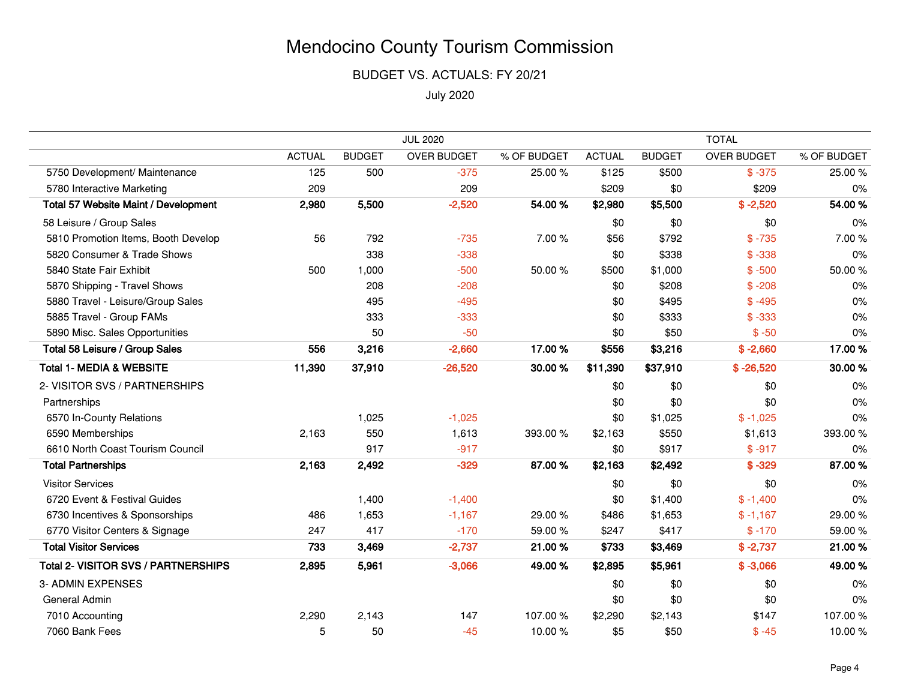BUDGET VS. ACTUALS: FY 20/21

|                                      |               |               | <b>JUL 2020</b>    |             |               |               | <b>TOTAL</b>       |             |
|--------------------------------------|---------------|---------------|--------------------|-------------|---------------|---------------|--------------------|-------------|
|                                      | <b>ACTUAL</b> | <b>BUDGET</b> | <b>OVER BUDGET</b> | % OF BUDGET | <b>ACTUAL</b> | <b>BUDGET</b> | <b>OVER BUDGET</b> | % OF BUDGET |
| 5750 Development/ Maintenance        | 125           | 500           | $-375$             | 25.00%      | \$125         | \$500         | $$ -375$           | 25.00 %     |
| 5780 Interactive Marketing           | 209           |               | 209                |             | \$209         | \$0           | \$209              | 0%          |
| Total 57 Website Maint / Development | 2,980         | 5,500         | $-2,520$           | 54.00%      | \$2,980       | \$5,500       | $$ -2,520$         | 54.00%      |
| 58 Leisure / Group Sales             |               |               |                    |             | \$0           | \$0           | \$0                | 0%          |
| 5810 Promotion Items, Booth Develop  | 56            | 792           | $-735$             | 7.00 %      | \$56          | \$792         | $$ -735$           | 7.00%       |
| 5820 Consumer & Trade Shows          |               | 338           | $-338$             |             | \$0           | \$338         | $$ -338$           | 0%          |
| 5840 State Fair Exhibit              | 500           | 1,000         | $-500$             | 50.00 %     | \$500         | \$1,000       | $$ -500$           | 50.00%      |
| 5870 Shipping - Travel Shows         |               | 208           | $-208$             |             | \$0           | \$208         | $$ -208$           | 0%          |
| 5880 Travel - Leisure/Group Sales    |               | 495           | $-495$             |             | \$0           | \$495         | $$ -495$           | 0%          |
| 5885 Travel - Group FAMs             |               | 333           | $-333$             |             | \$0           | \$333         | $$ -333$           | 0%          |
| 5890 Misc. Sales Opportunities       |               | 50            | $-50$              |             | \$0           | \$50          | $$ -50$            | 0%          |
| Total 58 Leisure / Group Sales       | 556           | 3,216         | $-2,660$           | 17.00%      | \$556         | \$3,216       | $$ -2,660$         | 17.00%      |
| <b>Total 1- MEDIA &amp; WEBSITE</b>  | 11,390        | 37,910        | $-26,520$          | 30.00 %     | \$11,390      | \$37,910      | $$ -26,520$        | 30.00%      |
| 2- VISITOR SVS / PARTNERSHIPS        |               |               |                    |             | \$0           | \$0           | \$0                | 0%          |
| Partnerships                         |               |               |                    |             | \$0           | \$0           | \$0                | 0%          |
| 6570 In-County Relations             |               | 1,025         | $-1,025$           |             | \$0           | \$1,025       | $$ -1,025$         | 0%          |
| 6590 Memberships                     | 2,163         | 550           | 1,613              | 393.00%     | \$2,163       | \$550         | \$1,613            | 393.00%     |
| 6610 North Coast Tourism Council     |               | 917           | $-917$             |             | \$0           | \$917         | $$ -917$           | 0%          |
| <b>Total Partnerships</b>            | 2,163         | 2,492         | $-329$             | 87.00 %     | \$2,163       | \$2,492       | $$ -329$           | 87.00 %     |
| <b>Visitor Services</b>              |               |               |                    |             | \$0           | \$0           | \$0                | 0%          |
| 6720 Event & Festival Guides         |               | 1,400         | $-1,400$           |             | \$0           | \$1,400       | $$ -1,400$         | 0%          |
| 6730 Incentives & Sponsorships       | 486           | 1,653         | $-1,167$           | 29.00 %     | \$486         | \$1,653       | $$ -1,167$         | 29.00%      |
| 6770 Visitor Centers & Signage       | 247           | 417           | $-170$             | 59.00 %     | \$247         | \$417         | $$ -170$           | 59.00 %     |
| <b>Total Visitor Services</b>        | 733           | 3,469         | $-2,737$           | 21.00%      | \$733         | \$3,469       | $$ -2,737$         | 21.00%      |
| Total 2- VISITOR SVS / PARTNERSHIPS  | 2,895         | 5,961         | $-3,066$           | 49.00%      | \$2,895       | \$5,961       | $$ -3,066$         | 49.00%      |
| 3- ADMIN EXPENSES                    |               |               |                    |             | \$0           | \$0           | \$0                | 0%          |
| General Admin                        |               |               |                    |             | \$0           | \$0           | \$0                | 0%          |
| 7010 Accounting                      | 2,290         | 2,143         | 147                | 107.00%     | \$2,290       | \$2,143       | \$147              | 107.00%     |
| 7060 Bank Fees                       | 5             | 50            | $-45$              | 10.00%      | \$5           | \$50          | $$ -45$            | 10.00%      |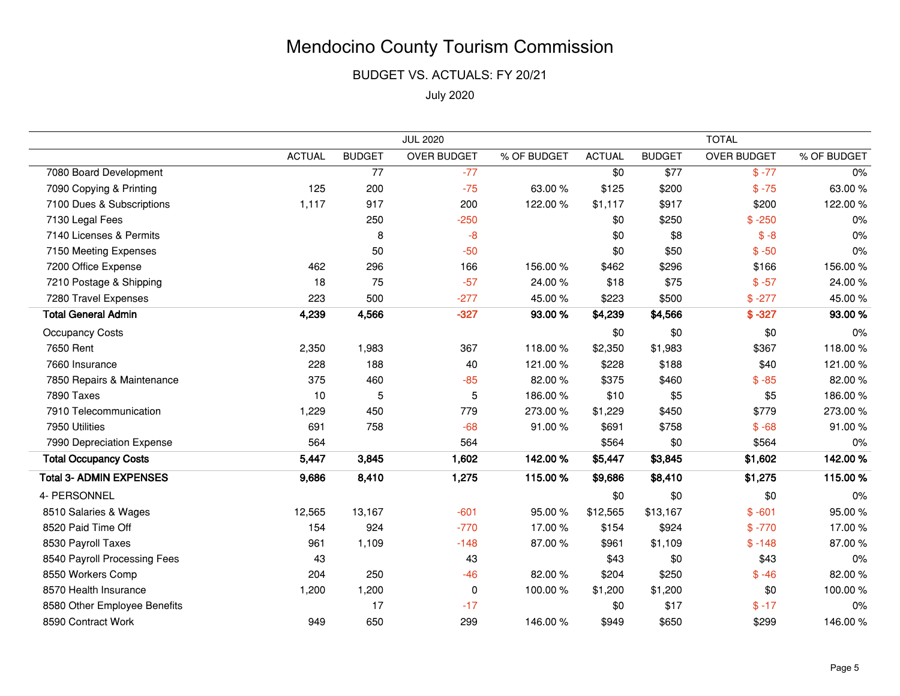#### BUDGET VS. ACTUALS: FY 20/21

|                                |               |               | <b>JUL 2020</b>    |             |               |               | <b>TOTAL</b>       |             |
|--------------------------------|---------------|---------------|--------------------|-------------|---------------|---------------|--------------------|-------------|
|                                | <b>ACTUAL</b> | <b>BUDGET</b> | <b>OVER BUDGET</b> | % OF BUDGET | <b>ACTUAL</b> | <b>BUDGET</b> | <b>OVER BUDGET</b> | % OF BUDGET |
| 7080 Board Development         |               | 77            | $-77$              |             | \$0           | \$77          | $$ -77$            | 0%          |
| 7090 Copying & Printing        | 125           | 200           | $-75$              | 63.00 %     | \$125         | \$200         | $$ -75$            | 63.00 %     |
| 7100 Dues & Subscriptions      | 1,117         | 917           | 200                | 122.00%     | \$1,117       | \$917         | \$200              | 122.00%     |
| 7130 Legal Fees                |               | 250           | $-250$             |             | \$0           | \$250         | $$ -250$           | 0%          |
| 7140 Licenses & Permits        |               | 8             | $-8$               |             | \$0           | \$8           | $$ -8$             | 0%          |
| 7150 Meeting Expenses          |               | 50            | $-50$              |             | \$0           | \$50          | $$ -50$            | 0%          |
| 7200 Office Expense            | 462           | 296           | 166                | 156.00%     | \$462         | \$296         | \$166              | 156.00%     |
| 7210 Postage & Shipping        | 18            | 75            | $-57$              | 24.00%      | \$18          | \$75          | $$ -57$            | 24.00%      |
| 7280 Travel Expenses           | 223           | 500           | $-277$             | 45.00 %     | \$223         | \$500         | $$ -277$           | 45.00%      |
| <b>Total General Admin</b>     | 4,239         | 4,566         | $-327$             | 93.00 %     | \$4,239       | \$4,566       | $$ -327$           | 93.00 %     |
| <b>Occupancy Costs</b>         |               |               |                    |             | \$0           | \$0           | \$0                | 0%          |
| 7650 Rent                      | 2,350         | 1,983         | 367                | 118.00%     | \$2,350       | \$1,983       | \$367              | 118.00%     |
| 7660 Insurance                 | 228           | 188           | 40                 | 121.00%     | \$228         | \$188         | \$40               | 121.00%     |
| 7850 Repairs & Maintenance     | 375           | 460           | $-85$              | 82.00%      | \$375         | \$460         | $$ -85$            | 82.00%      |
| 7890 Taxes                     | 10            | 5             | 5                  | 186.00%     | \$10          | \$5           | \$5                | 186.00%     |
| 7910 Telecommunication         | 1,229         | 450           | 779                | 273.00%     | \$1,229       | \$450         | \$779              | 273.00%     |
| 7950 Utilities                 | 691           | 758           | $-68$              | 91.00 %     | \$691         | \$758         | $$ -68$            | 91.00%      |
| 7990 Depreciation Expense      | 564           |               | 564                |             | \$564         | \$0           | \$564              | 0%          |
| <b>Total Occupancy Costs</b>   | 5,447         | 3,845         | 1,602              | 142.00%     | \$5,447       | \$3,845       | \$1,602            | 142.00%     |
| <b>Total 3- ADMIN EXPENSES</b> | 9,686         | 8,410         | 1,275              | 115.00%     | \$9,686       | \$8,410       | \$1,275            | 115.00%     |
| 4- PERSONNEL                   |               |               |                    |             | \$0           | \$0           | \$0                | 0%          |
| 8510 Salaries & Wages          | 12,565        | 13,167        | $-601$             | 95.00%      | \$12,565      | \$13,167      | $$ -601$           | 95.00%      |
| 8520 Paid Time Off             | 154           | 924           | $-770$             | 17.00%      | \$154         | \$924         | $$ -770$           | 17.00%      |
| 8530 Payroll Taxes             | 961           | 1,109         | $-148$             | 87.00%      | \$961         | \$1,109       | $$ -148$           | 87.00%      |
| 8540 Payroll Processing Fees   | 43            |               | 43                 |             | \$43          | \$0           | \$43               | 0%          |
| 8550 Workers Comp              | 204           | 250           | $-46$              | 82.00%      | \$204         | \$250         | $$ -46$            | 82.00%      |
| 8570 Health Insurance          | 1,200         | 1,200         | 0                  | 100.00%     | \$1,200       | \$1,200       | \$0                | 100.00%     |
| 8580 Other Employee Benefits   |               | 17            | $-17$              |             | \$0           | \$17          | $$ -17$            | 0%          |
| 8590 Contract Work             | 949           | 650           | 299                | 146.00%     | \$949         | \$650         | \$299              | 146.00%     |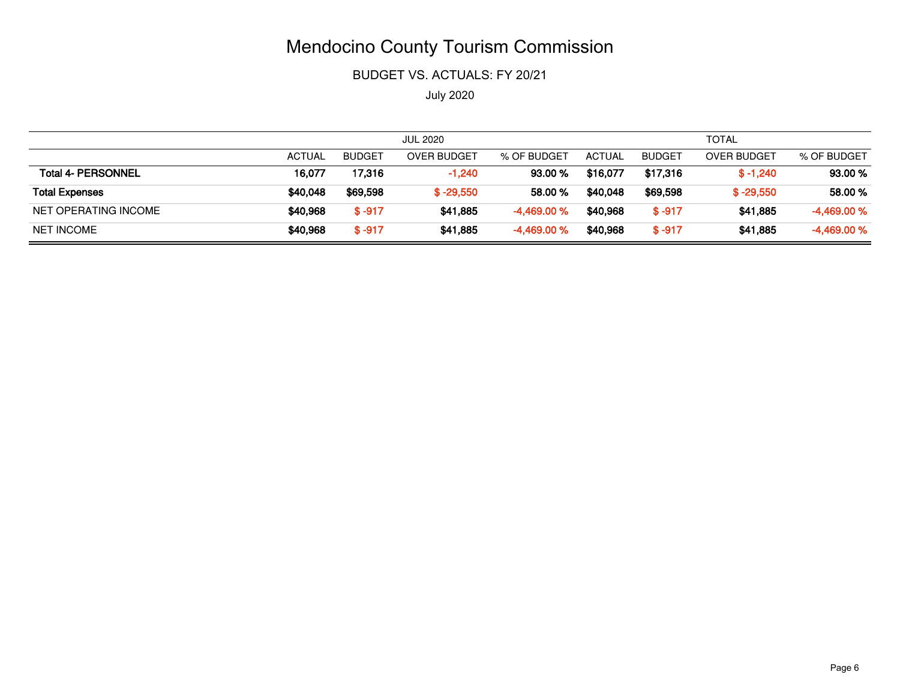BUDGET VS. ACTUALS: FY 20/21

|                           |               |               | <b>JUL 2020</b>    |              |               |               | TOTAL              |              |
|---------------------------|---------------|---------------|--------------------|--------------|---------------|---------------|--------------------|--------------|
|                           | <b>ACTUAL</b> | <b>BUDGET</b> | <b>OVER BUDGET</b> | % OF BUDGET  | <b>ACTUAL</b> | <b>BUDGET</b> | <b>OVER BUDGET</b> | % OF BUDGET  |
| <b>Total 4- PERSONNEL</b> | 16,077        | 17,316        | $-1,240$           | 93.00%       | \$16,077      | \$17,316      | $$ -1,240$         | 93.00 %      |
| <b>Total Expenses</b>     | \$40,048      | \$69,598      | $$ -29.550$        | 58.00 %      | \$40,048      | \$69,598      | $$ -29,550$        | 58.00 %      |
| NET OPERATING INCOME      | \$40,968      | $$ -917$      | \$41,885           | $-4.469.00%$ | \$40,968      | $$ -917$      | \$41,885           | $-4,469.00%$ |
| <b>NET INCOME</b>         | \$40,968      | $$ -917$      | \$41,885           | $-4,469.00%$ | \$40,968      | $$ -917$      | \$41,885           | $-4,469.00%$ |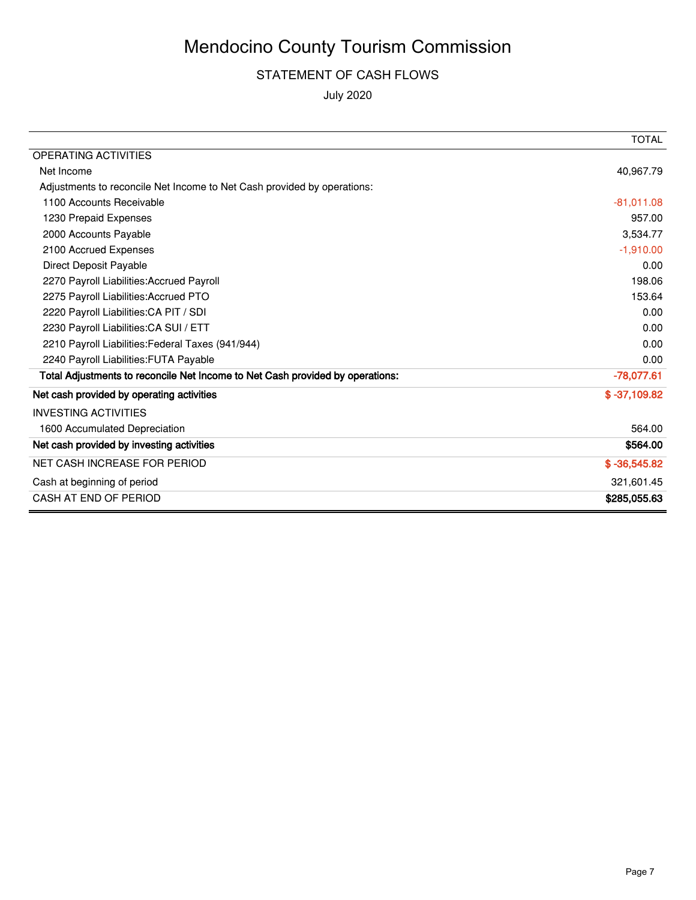### STATEMENT OF CASH FLOWS

|                                                                               | <b>TOTAL</b>   |
|-------------------------------------------------------------------------------|----------------|
| OPERATING ACTIVITIES                                                          |                |
| Net Income                                                                    | 40,967.79      |
| Adjustments to reconcile Net Income to Net Cash provided by operations:       |                |
| 1100 Accounts Receivable                                                      | $-81,011.08$   |
| 1230 Prepaid Expenses                                                         | 957.00         |
| 2000 Accounts Payable                                                         | 3,534.77       |
| 2100 Accrued Expenses                                                         | $-1,910.00$    |
| Direct Deposit Payable                                                        | 0.00           |
| 2270 Payroll Liabilities: Accrued Payroll                                     | 198.06         |
| 2275 Payroll Liabilities: Accrued PTO                                         | 153.64         |
| 2220 Payroll Liabilities: CA PIT / SDI                                        | 0.00           |
| 2230 Payroll Liabilities: CA SUI / ETT                                        | 0.00           |
| 2210 Payroll Liabilities: Federal Taxes (941/944)                             | 0.00           |
| 2240 Payroll Liabilities: FUTA Payable                                        | 0.00           |
| Total Adjustments to reconcile Net Income to Net Cash provided by operations: | $-78,077.61$   |
| Net cash provided by operating activities                                     | $$ -37,109.82$ |
| <b>INVESTING ACTIVITIES</b>                                                   |                |
| 1600 Accumulated Depreciation                                                 | 564.00         |
| Net cash provided by investing activities                                     | \$564.00       |
| <b>NET CASH INCREASE FOR PERIOD</b>                                           | $$ -36,545.82$ |
| Cash at beginning of period                                                   | 321,601.45     |
| CASH AT END OF PERIOD                                                         | \$285,055.63   |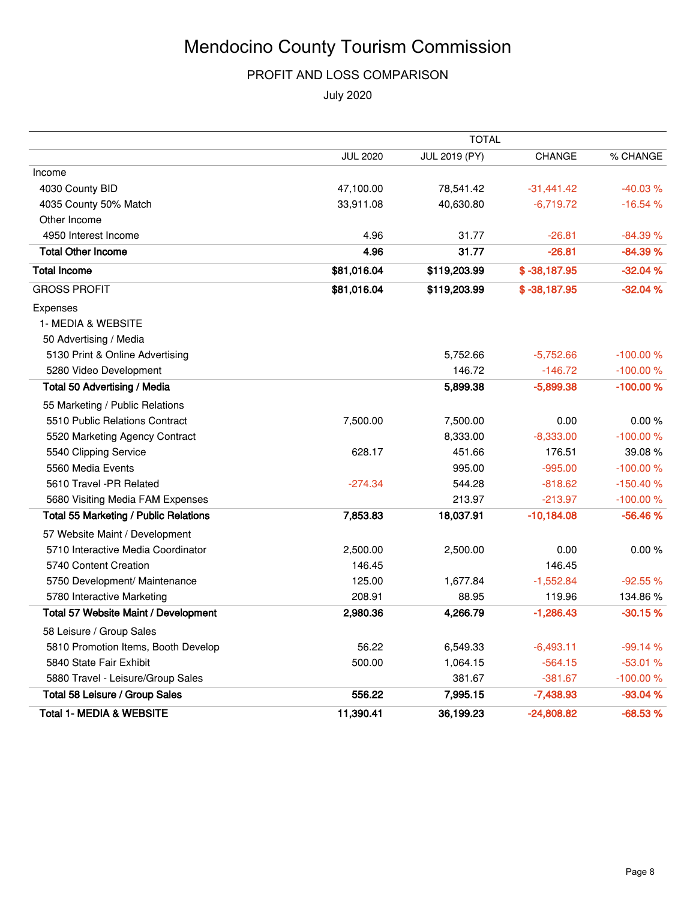### PROFIT AND LOSS COMPARISON

|                                              | <b>TOTAL</b>    |               |                |            |  |  |  |
|----------------------------------------------|-----------------|---------------|----------------|------------|--|--|--|
|                                              | <b>JUL 2020</b> | JUL 2019 (PY) | CHANGE         | % CHANGE   |  |  |  |
| Income                                       |                 |               |                |            |  |  |  |
| 4030 County BID                              | 47,100.00       | 78,541.42     | $-31,441.42$   | $-40.03%$  |  |  |  |
| 4035 County 50% Match                        | 33,911.08       | 40,630.80     | $-6,719.72$    | $-16.54%$  |  |  |  |
| Other Income                                 |                 |               |                |            |  |  |  |
| 4950 Interest Income                         | 4.96            | 31.77         | $-26.81$       | $-84.39%$  |  |  |  |
| <b>Total Other Income</b>                    | 4.96            | 31.77         | $-26.81$       | $-84.39%$  |  |  |  |
| <b>Total Income</b>                          | \$81,016.04     | \$119,203.99  | $$ -38,187.95$ | $-32.04%$  |  |  |  |
| <b>GROSS PROFIT</b>                          | \$81,016.04     | \$119,203.99  | $$ -38,187.95$ | $-32.04%$  |  |  |  |
| Expenses                                     |                 |               |                |            |  |  |  |
| 1- MEDIA & WEBSITE                           |                 |               |                |            |  |  |  |
| 50 Advertising / Media                       |                 |               |                |            |  |  |  |
| 5130 Print & Online Advertising              |                 | 5,752.66      | $-5,752.66$    | $-100.00%$ |  |  |  |
| 5280 Video Development                       |                 | 146.72        | $-146.72$      | $-100.00%$ |  |  |  |
| <b>Total 50 Advertising / Media</b>          |                 | 5,899.38      | $-5,899.38$    | $-100.00%$ |  |  |  |
| 55 Marketing / Public Relations              |                 |               |                |            |  |  |  |
| 5510 Public Relations Contract               | 7,500.00        | 7,500.00      | 0.00           | 0.00%      |  |  |  |
| 5520 Marketing Agency Contract               |                 | 8,333.00      | $-8,333.00$    | $-100.00%$ |  |  |  |
| 5540 Clipping Service                        | 628.17          | 451.66        | 176.51         | 39.08%     |  |  |  |
| 5560 Media Events                            |                 | 995.00        | $-995.00$      | $-100.00%$ |  |  |  |
| 5610 Travel -PR Related                      | $-274.34$       | 544.28        | $-818.62$      | $-150.40%$ |  |  |  |
| 5680 Visiting Media FAM Expenses             |                 | 213.97        | $-213.97$      | $-100.00%$ |  |  |  |
| <b>Total 55 Marketing / Public Relations</b> | 7,853.83        | 18,037.91     | $-10,184.08$   | $-56.46%$  |  |  |  |
| 57 Website Maint / Development               |                 |               |                |            |  |  |  |
| 5710 Interactive Media Coordinator           | 2,500.00        | 2,500.00      | 0.00           | 0.00%      |  |  |  |
| 5740 Content Creation                        | 146.45          |               | 146.45         |            |  |  |  |
| 5750 Development/ Maintenance                | 125.00          | 1,677.84      | $-1,552.84$    | $-92.55%$  |  |  |  |
| 5780 Interactive Marketing                   | 208.91          | 88.95         | 119.96         | 134.86%    |  |  |  |
| Total 57 Website Maint / Development         | 2,980.36        | 4,266.79      | $-1,286.43$    | $-30.15%$  |  |  |  |
| 58 Leisure / Group Sales                     |                 |               |                |            |  |  |  |
| 5810 Promotion Items, Booth Develop          | 56.22           | 6,549.33      | $-6,493.11$    | $-99.14%$  |  |  |  |
| 5840 State Fair Exhibit                      | 500.00          | 1,064.15      | $-564.15$      | $-53.01%$  |  |  |  |
| 5880 Travel - Leisure/Group Sales            |                 | 381.67        | $-381.67$      | $-100.00%$ |  |  |  |
| Total 58 Leisure / Group Sales               | 556.22          | 7,995.15      | $-7,438.93$    | $-93.04%$  |  |  |  |
| <b>Total 1- MEDIA &amp; WEBSITE</b>          | 11,390.41       | 36,199.23     | $-24,808.82$   | $-68.53%$  |  |  |  |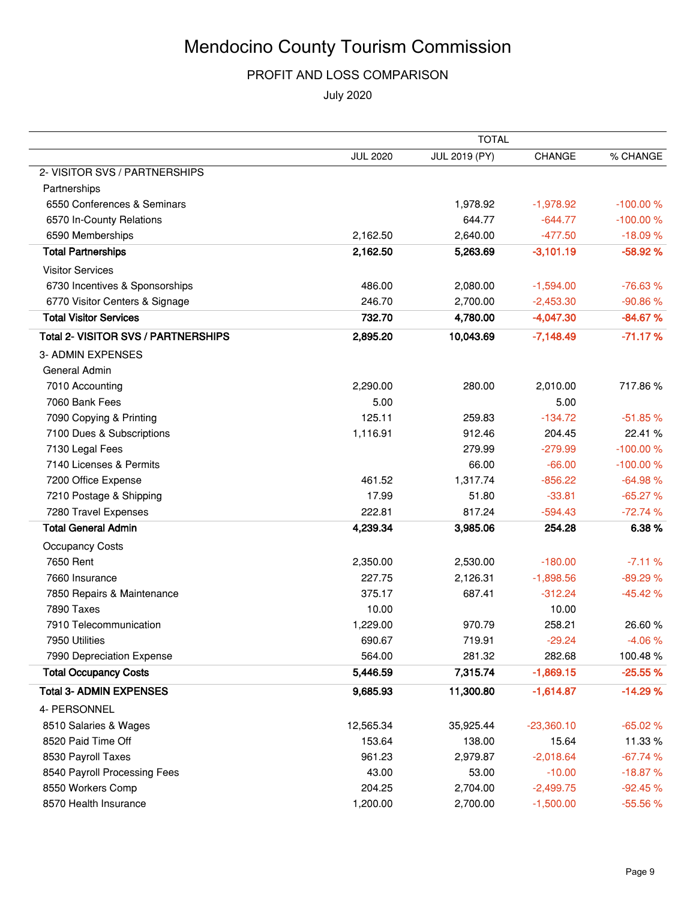### PROFIT AND LOSS COMPARISON

|                                     | <b>TOTAL</b>    |               |               |            |  |  |  |
|-------------------------------------|-----------------|---------------|---------------|------------|--|--|--|
|                                     | <b>JUL 2020</b> | JUL 2019 (PY) | <b>CHANGE</b> | % CHANGE   |  |  |  |
| 2- VISITOR SVS / PARTNERSHIPS       |                 |               |               |            |  |  |  |
| Partnerships                        |                 |               |               |            |  |  |  |
| 6550 Conferences & Seminars         |                 | 1,978.92      | $-1,978.92$   | $-100.00%$ |  |  |  |
| 6570 In-County Relations            |                 | 644.77        | $-644.77$     | $-100.00%$ |  |  |  |
| 6590 Memberships                    | 2,162.50        | 2,640.00      | $-477.50$     | $-18.09%$  |  |  |  |
| <b>Total Partnerships</b>           | 2,162.50        | 5,263.69      | $-3,101.19$   | $-58.92%$  |  |  |  |
| <b>Visitor Services</b>             |                 |               |               |            |  |  |  |
| 6730 Incentives & Sponsorships      | 486.00          | 2,080.00      | $-1,594.00$   | $-76.63%$  |  |  |  |
| 6770 Visitor Centers & Signage      | 246.70          | 2,700.00      | $-2,453.30$   | -90.86%    |  |  |  |
| <b>Total Visitor Services</b>       | 732.70          | 4,780.00      | $-4,047.30$   | $-84.67%$  |  |  |  |
| Total 2- VISITOR SVS / PARTNERSHIPS | 2,895.20        | 10,043.69     | $-7,148.49$   | $-71.17%$  |  |  |  |
| 3- ADMIN EXPENSES                   |                 |               |               |            |  |  |  |
| General Admin                       |                 |               |               |            |  |  |  |
| 7010 Accounting                     | 2,290.00        | 280.00        | 2,010.00      | 717.86%    |  |  |  |
| 7060 Bank Fees                      | 5.00            |               | 5.00          |            |  |  |  |
| 7090 Copying & Printing             | 125.11          | 259.83        | $-134.72$     | $-51.85%$  |  |  |  |
| 7100 Dues & Subscriptions           | 1,116.91        | 912.46        | 204.45        | 22.41 %    |  |  |  |
| 7130 Legal Fees                     |                 | 279.99        | $-279.99$     | $-100.00%$ |  |  |  |
| 7140 Licenses & Permits             |                 | 66.00         | $-66.00$      | $-100.00%$ |  |  |  |
| 7200 Office Expense                 | 461.52          | 1,317.74      | $-856.22$     | $-64.98%$  |  |  |  |
| 7210 Postage & Shipping             | 17.99           | 51.80         | $-33.81$      | $-65.27%$  |  |  |  |
| 7280 Travel Expenses                | 222.81          | 817.24        | $-594.43$     | $-72.74%$  |  |  |  |
| <b>Total General Admin</b>          | 4,239.34        | 3,985.06      | 254.28        | 6.38%      |  |  |  |
| Occupancy Costs                     |                 |               |               |            |  |  |  |
| 7650 Rent                           | 2,350.00        | 2,530.00      | $-180.00$     | $-7.11%$   |  |  |  |
| 7660 Insurance                      | 227.75          | 2,126.31      | $-1,898.56$   | -89.29 %   |  |  |  |
| 7850 Repairs & Maintenance          | 375.17          | 687.41        | $-312.24$     | $-45.42%$  |  |  |  |
| 7890 Taxes                          | 10.00           |               | 10.00         |            |  |  |  |
| 7910 Telecommunication              | 1,229.00        | 970.79        | 258.21        | 26.60%     |  |  |  |
| 7950 Utilities                      | 690.67          | 719.91        | $-29.24$      | $-4.06%$   |  |  |  |
| 7990 Depreciation Expense           | 564.00          | 281.32        | 282.68        | 100.48%    |  |  |  |
| <b>Total Occupancy Costs</b>        | 5,446.59        | 7,315.74      | $-1,869.15$   | $-25.55%$  |  |  |  |
| <b>Total 3- ADMIN EXPENSES</b>      | 9,685.93        | 11,300.80     | $-1,614.87$   | $-14.29%$  |  |  |  |
| 4- PERSONNEL                        |                 |               |               |            |  |  |  |
| 8510 Salaries & Wages               | 12,565.34       | 35,925.44     | $-23,360.10$  | $-65.02%$  |  |  |  |
| 8520 Paid Time Off                  | 153.64          | 138.00        | 15.64         | 11.33%     |  |  |  |
| 8530 Payroll Taxes                  | 961.23          | 2,979.87      | $-2,018.64$   | $-67.74%$  |  |  |  |
| 8540 Payroll Processing Fees        | 43.00           | 53.00         | $-10.00$      | $-18.87%$  |  |  |  |
| 8550 Workers Comp                   | 204.25          | 2,704.00      | $-2,499.75$   | $-92.45%$  |  |  |  |
| 8570 Health Insurance               | 1,200.00        | 2,700.00      | $-1,500.00$   | $-55.56%$  |  |  |  |